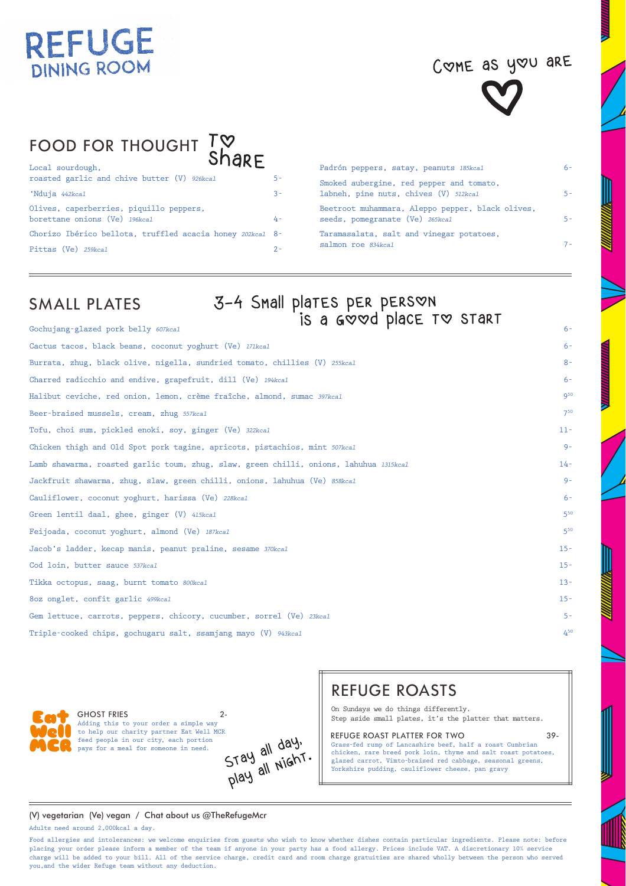# COME as you are



# FOOD FOR THOUGHT TO

| . <u>. .</u><br>Local sourdough.                                         |            |
|--------------------------------------------------------------------------|------------|
| roasted garlic and chive butter (V) 926kcal                              | $5 -$      |
| 'Nduja 442kcal                                                           | $3 -$      |
| Olives, caperberries, piquillo peppers,<br>borettane onions (Ve) 196kcal | $\Delta$ – |
| Chorizo Ibérico bellota, truffled acacia honey 202kcal 8-                |            |
| Pittas (Ve) 259kcal                                                      | $2 -$      |

| Padrón peppers, satay, peanuts 185kcal                                              | $6-$  |
|-------------------------------------------------------------------------------------|-------|
| Smoked aubergine, red pepper and tomato,<br>labneh, pine nuts, chives (V) 512kcal   | $5 -$ |
| Beetroot muhammara, Aleppo pepper, black olives,<br>seeds, pomegranate (Ve) 265kcal | $5 -$ |
| Taramasalata, salt and vinegar potatoes,<br>salmon roe 834kcal                      |       |

# SMALL PLATES

# SMALL PLATES 3-4 Small plates per person<br>Gochujang-glazed pork belly 607kcal **6-** is a Good place to Start

| Cactus tacos, black beans, coconut yoghurt (Ve) 171kcal                                | $6 -$    |
|----------------------------------------------------------------------------------------|----------|
| Burrata, zhug, black olive, nigella, sundried tomato, chillies (V) 255kcal             | $8 -$    |
| Charred radicchio and endive, grapefruit, dill (Ve) 194kcal                            | $6 -$    |
| Halibut ceviche, red onion, lemon, crème fraîche, almond, sumac 397kcal                | $Q^{50}$ |
| Beer-braised mussels, cream, zhug 557kcal                                              | $7^{50}$ |
| Tofu, choi sum, pickled enoki, soy, ginger (Ve) 322kcal                                | $11 -$   |
| Chicken thigh and Old Spot pork tagine, apricots, pistachios, mint 507kcal             | $9-$     |
| Lamb shawarma, roasted garlic toum, zhug, slaw, green chilli, onions, lahuhua 1315kcal | $14 -$   |
| Jackfruit shawarma, zhug, slaw, green chilli, onions, lahuhua (Ve) 858kcal             | $Q -$    |
| Cauliflower, coconut yoghurt, harissa (Ve) 228kcal                                     | $6 -$    |
| Green lentil daal, ghee, ginger (V) 415kcal                                            | $5^{50}$ |
| Feijoada, coconut yoghurt, almond (Ve) 187kcal                                         | 55C      |
| Jacob's ladder, kecap manis, peanut praline, sesame 370kcal                            | $15 -$   |
| Cod loin, butter sauce 537kcal                                                         | $15 -$   |
| Tikka octopus, saag, burnt tomato 800kcal                                              | $13 -$   |
| 8oz onglet, confit garlic 499kcal                                                      | $15 -$   |
| Gem lettuce, carrots, peppers, chicory, cucumber, sorrel (Ve) 23kcal                   | $5 -$    |
| Triple-cooked chips, gochugaru salt, ssamjang mayo (V) 943kcal                         | $4^{50}$ |
|                                                                                        |          |



GHOST FRIES 2to help our charity partner Eat Well MCR feed people in our city, each portion pays for a meal for someone in need.

Adding this to your order a simple way<br>to help our charity partner Eat Well MCR<br>feed people in our city, each portion<br>pays for a meal for someone in need.<br> $5789$  all NIGhT.

## REFUGE ROASTS

On Sundays we do things differently. Step aside small plates, it's the platter that matters.

#### REFUGE ROAST PLATTER FOR TWO 39-Grass-fed rump of Lancashire beef, half a roast Cumbrian

chicken, rare breed pork loin, thyme and salt roast potatoes, glazed carrot, Vimto-braised red cabbage, seasonal greens, Yorkshire pudding, cauliflower cheese, pan gravy

#### (V) vegetarian (Ve) vegan / Chat about us @TheRefugeMcr

Adults need around 2,000kcal a day.

Food allergies and intolerances: we welcome enquiries from guests who wish to know whether dishes contain particular ingredients. Please note: before placing your order please inform a member of the team if anyone in your party has a food allergy. Prices include VAT. A discretionary 10% service charge will be added to your bill. All of the service charge, credit card and room charge gratuities are shared wholly between the person who served you,and the wider Refuge team without any deduction.